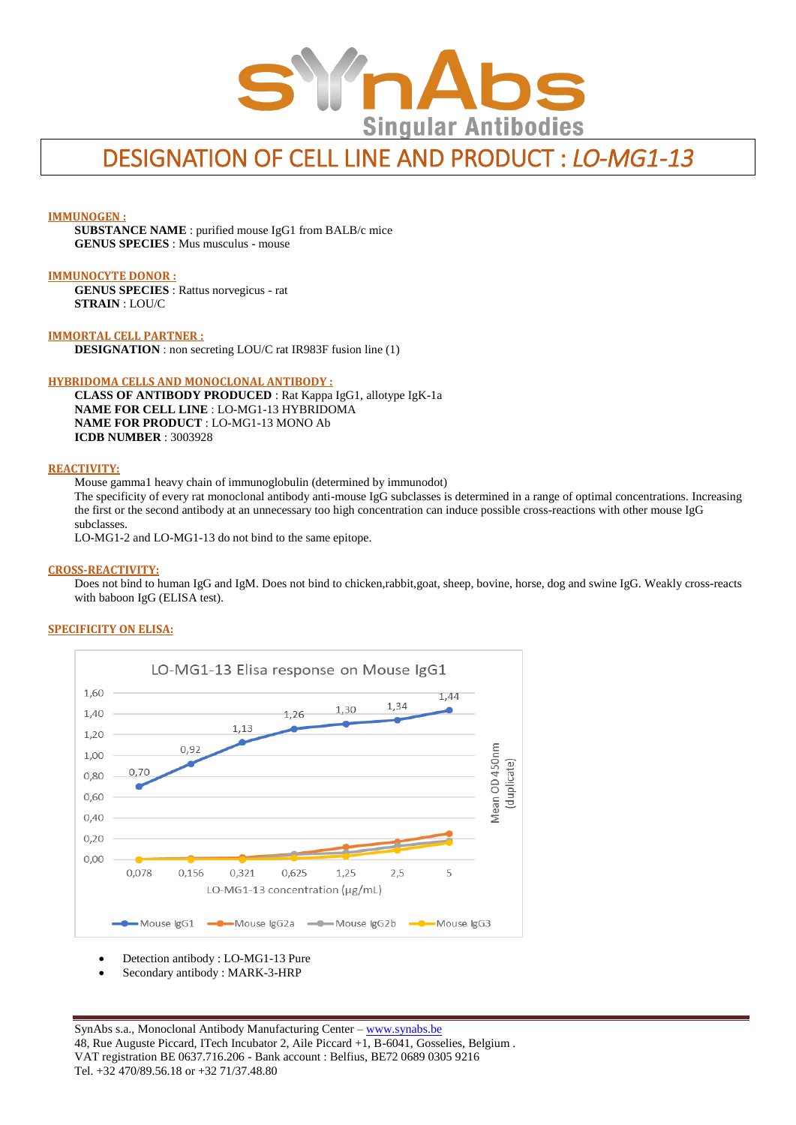

# DESIGNATION OF CELL LINE AND PRODUCT : *LO-MG1-13*

#### **IMMUNOGEN :**

**SUBSTANCE NAME** : purified mouse IgG1 from BALB/c mice **GENUS SPECIES** : Mus musculus - mouse

#### **IMMUNOCYTE DONOR :**

**GENUS SPECIES** : Rattus norvegicus - rat **STRAIN** : LOU/C

**IMMORTAL CELL PARTNER : DESIGNATION** : non secreting LOU/C rat IR983F fusion line (1)

#### **HYBRIDOMA CELLS AND MONOCLONAL ANTIBODY :**

**CLASS OF ANTIBODY PRODUCED** : Rat Kappa IgG1, allotype IgK-1a **NAME FOR CELL LINE** : LO-MG1-13 HYBRIDOMA **NAME FOR PRODUCT** : LO-MG1-13 MONO Ab **ICDB NUMBER** : 3003928

#### **REACTIVITY:**

Mouse gamma1 heavy chain of immunoglobulin (determined by immunodot)

The specificity of every rat monoclonal antibody anti-mouse IgG subclasses is determined in a range of optimal concentrations. Increasing the first or the second antibody at an unnecessary too high concentration can induce possible cross-reactions with other mouse IgG subclasses.

LO-MG1-2 and LO-MG1-13 do not bind to the same epitope.

#### **CROSS-REACTIVITY:**

Does not bind to human IgG and IgM. Does not bind to chicken,rabbit,goat, sheep, bovine, horse, dog and swine IgG. Weakly cross-reacts with baboon IgG (ELISA test).

#### **SPECIFICITY ON ELISA:**



- Detection antibody : LO-MG1-13 Pure
- Secondary antibody : MARK-3-HRP

SynAbs s.a., Monoclonal Antibody Manufacturing Center - [www.synabs.be](http://www.synabs.be/) 48, Rue Auguste Piccard, ITech Incubator 2, Aile Piccard +1, B-6041, Gosselies, Belgium . VAT registration BE 0637.716.206 - Bank account : Belfius, BE72 0689 0305 9216 Tel. +32 470/89.56.18 or +32 71/37.48.80